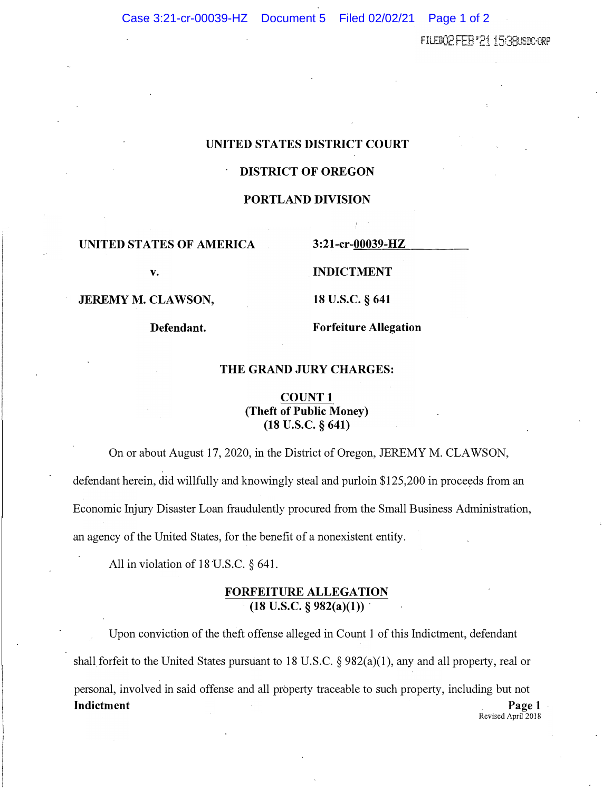FILEDO2 FEB '21 15380SDC-ORP

## **UNITED STATES DISTRICT COURT**

# **DISTRICT OF OREGON**

## **PORTLAND DIVISION**

## $UNITED$  STATES OF AMERICA

**v.** 

**JEREMY M. CLAWSON,** 

**Defendant.** 

3:21-cr-00039-HZ

**INDICTMENT** 

**18 u.s.c. § 641** 

**Forfeiture Allegation** 

### **THE GRAND JURY CHARGES:**

# **COUNT l (Theft of Public Money) (18 u.s.c. § 641)**

On or about August 17, 2020, in the District of Oregon, JEREMY M. CLAWSON,

defendant herein, did willfully and knowingly steal and purloin \$125,200 in proceeds from an

Economic Injury Disaster Loan fraudulently procured from the Small Business Administration,

an agency of the United States, for the benefit of a nonexistent entity.

All in violation of 18 U.S.C. § 641.

# **FORFEITURE ALLEGATION (18 U.S.C. § 982(a)(l))**

Upon conviction of the theft offense alleged in Count 1 of this Indictment, defendant shall forfeit to the United States pursuant to 18 U.S.C.  $\S 982(a)(1)$ , any and all property, real or personal, involved in said offense and all property traceable to such property, including but not **Indictment** Page 1 Revised April 2018